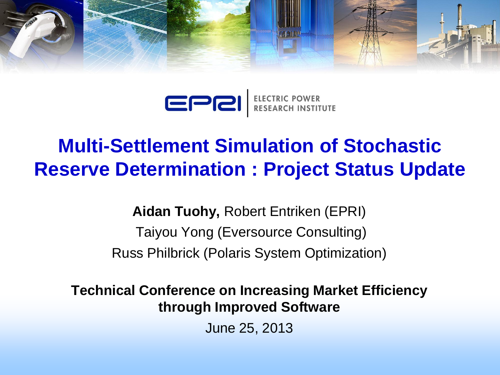

EPRI ELECTRIC POWER<br>RESEARCH INSTITUTE

### **Multi-Settlement Simulation of Stochastic Reserve Determination : Project Status Update**

**Aidan Tuohy,** Robert Entriken (EPRI) Taiyou Yong (Eversource Consulting) Russ Philbrick (Polaris System Optimization)

**Technical Conference on Increasing Market Efficiency through Improved Software** 

June 25, 2013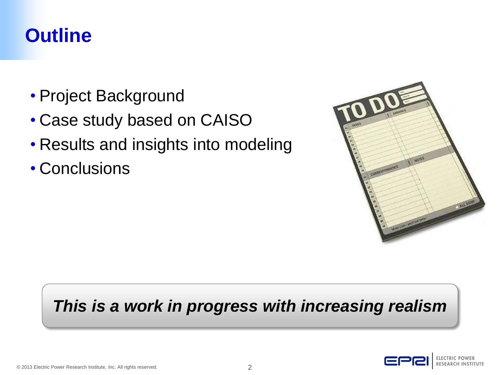### **Outline**

- Project Background
- Case study based on CAISO
- Results and insights into modeling
- Conclusions



### *This is a work in progress with increasing realism*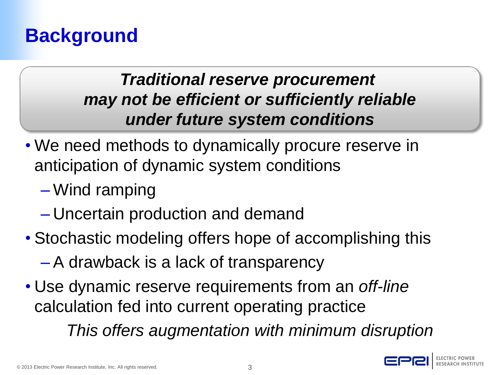### **Background**

### *Traditional reserve procurement may not be efficient or sufficiently reliable under future system conditions*

- We need methods to dynamically procure reserve in anticipation of dynamic system conditions
	- Wind ramping
	- Uncertain production and demand
- Stochastic modeling offers hope of accomplishing this
	- A drawback is a lack of transparency
- Use dynamic reserve requirements from an *off-line* calculation fed into current operating practice

*This offers augmentation with minimum disruption*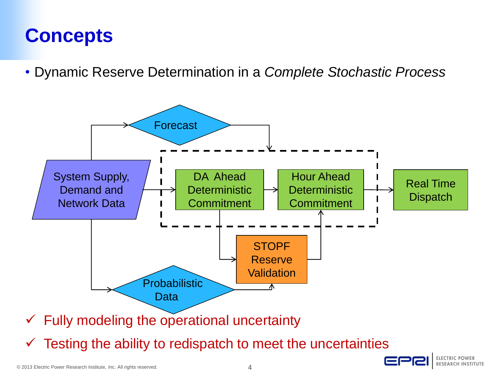## **Concepts**

• Dynamic Reserve Determination in a *Complete Stochastic Process*



Testing the ability to redispatch to meet the uncertainties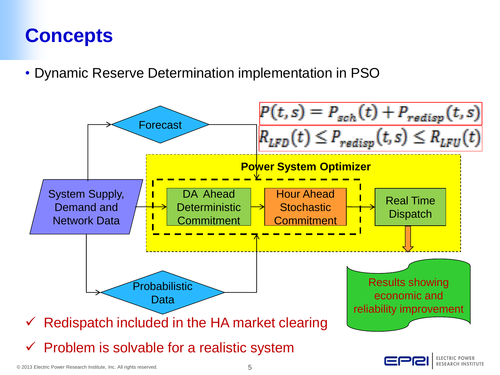## **Concepts**

• Dynamic Reserve Determination implementation in PSO



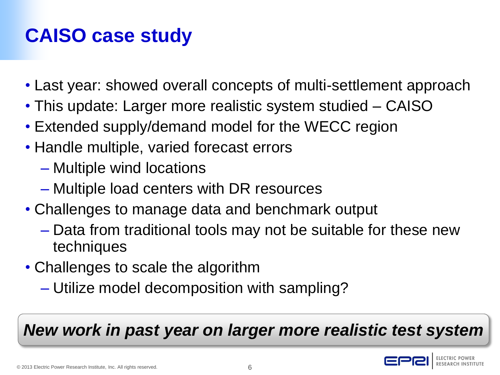# **CAISO case study**

- Last year: showed overall concepts of multi-settlement approach
- This update: Larger more realistic system studied CAISO
- Extended supply/demand model for the WECC region
- Handle multiple, varied forecast errors
	- Multiple wind locations
	- Multiple load centers with DR resources
- Challenges to manage data and benchmark output
	- Data from traditional tools may not be suitable for these new techniques
- Challenges to scale the algorithm
	- Utilize model decomposition with sampling?

*New work in past year on larger more realistic test system*

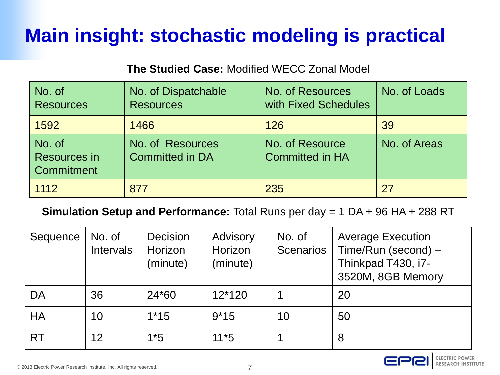# **Main insight: stochastic modeling is practical**

#### **The Studied Case:** Modified WECC Zonal Model

| No. of<br><b>Resources</b>                  | No. of Dispatchable<br><b>Resources</b>    | <b>No. of Resources</b><br>with Fixed Schedules | No. of Loads |
|---------------------------------------------|--------------------------------------------|-------------------------------------------------|--------------|
| 1592                                        | 1466                                       | 126                                             | 39           |
| No. of<br><b>Resources in</b><br>Commitment | No. of Resources<br><b>Committed in DA</b> | No. of Resource<br><b>Committed in HA</b>       | No. of Areas |
| 1112                                        | 877                                        | 235                                             |              |

#### **Simulation Setup and Performance:** Total Runs per day = 1 DA + 96 HA + 288 RT

| Sequence  | No. of<br>Intervals | Decision<br>Horizon<br>(minute) | Advisory<br>Horizon<br>(minute) | No. of<br><b>Scenarios</b> | <b>Average Execution</b><br>Time/Run (second) –<br>Thinkpad T430, i7-<br>3520M, 8GB Memory |
|-----------|---------------------|---------------------------------|---------------------------------|----------------------------|--------------------------------------------------------------------------------------------|
| DA        | 36                  | 24*60                           | $12*120$                        |                            | 20                                                                                         |
| <b>HA</b> | 10                  | $1*15$                          | $9*15$                          | 10                         | 50                                                                                         |
| <b>RT</b> | 12                  | $1*5$                           | $11*5$                          |                            | 8                                                                                          |



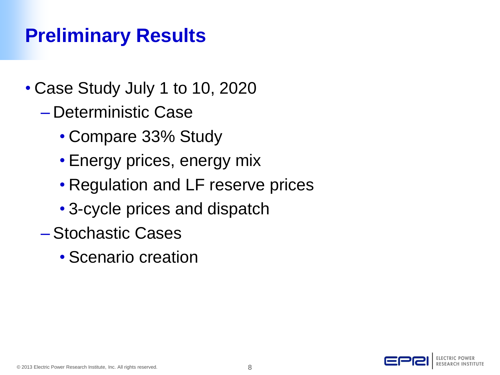## **Preliminary Results**

- Case Study July 1 to 10, 2020
	- Deterministic Case
		- Compare 33% Study
		- Energy prices, energy mix
		- Regulation and LF reserve prices
		- 3-cycle prices and dispatch
	- Stochastic Cases
		- Scenario creation

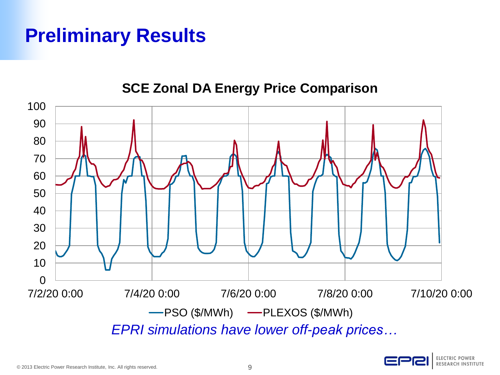### **Preliminary Results**



**SCE Zonal DA Energy Price Comparison**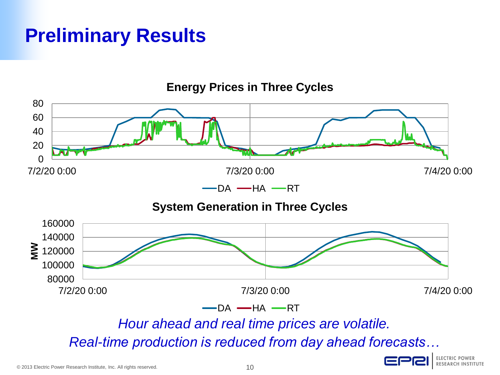### **Preliminary Results**

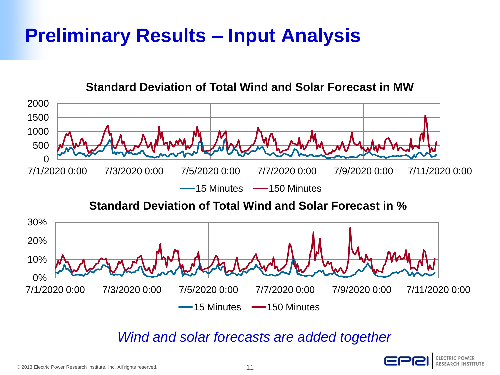

### *Wind and solar forecasts are added together*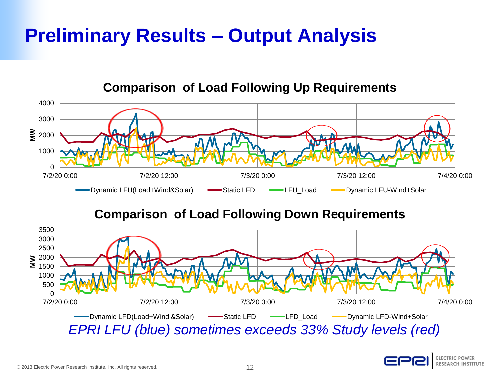

#### **Comparison of Load Following Up Requirements**

### **Comparison of Load Following Down Requirements**



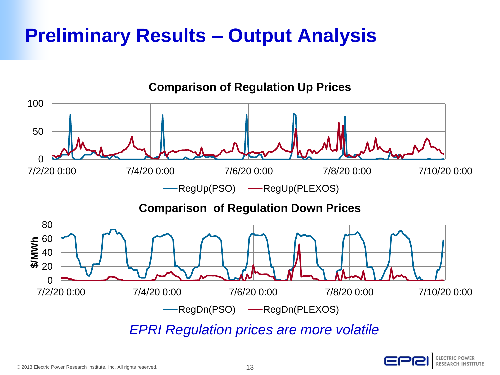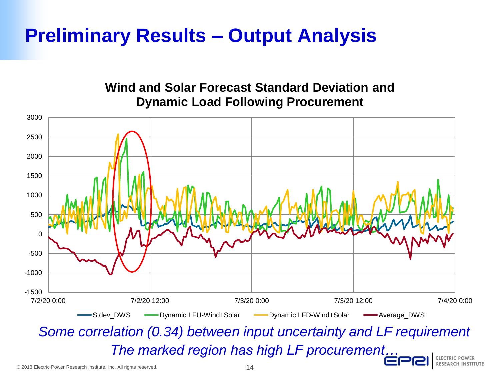#### **Wind and Solar Forecast Standard Deviation and Dynamic Load Following Procurement**



*Some correlation (0.34) between input uncertainty and LF requirement The marked region has high LF procurement…*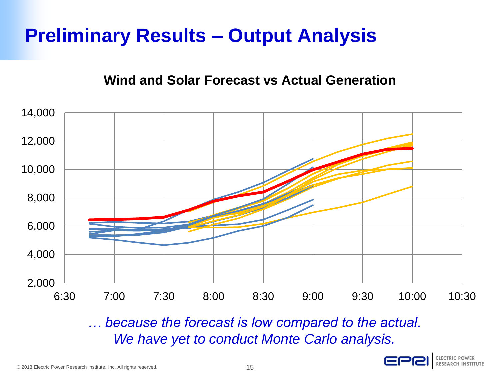### **Wind and Solar Forecast vs Actual Generation**



*… because the forecast is low compared to the actual. We have yet to conduct Monte Carlo analysis.*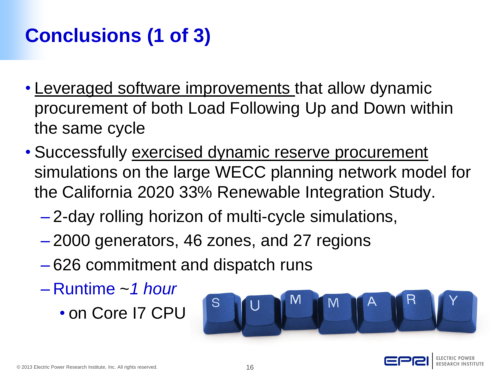# **Conclusions (1 of 3)**

- Leveraged software improvements that allow dynamic procurement of both Load Following Up and Down within the same cycle
- Successfully exercised dynamic reserve procurement simulations on the large WECC planning network model for the California 2020 33% Renewable Integration Study.
	- 2-day rolling horizon of multi-cycle simulations,
	- 2000 generators, 46 zones, and 27 regions
	- 626 commitment and dispatch runs
	- Runtime ~*1 hour* 
		- on Core I7 CPU



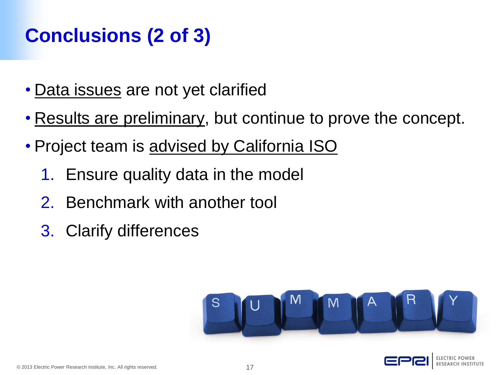# **Conclusions (2 of 3)**

- Data issues are not yet clarified
- Results are preliminary, but continue to prove the concept.
- Project team is advised by California ISO
	- 1. Ensure quality data in the model
	- 2. Benchmark with another tool
	- 3. Clarify differences



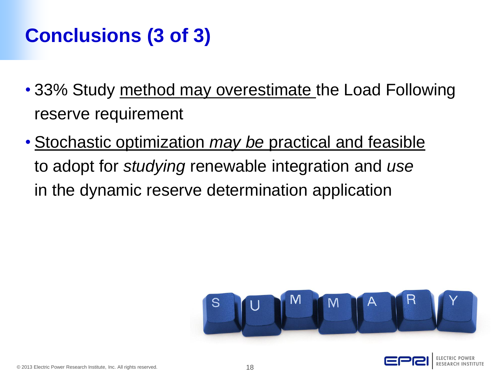## **Conclusions (3 of 3)**

- 33% Study method may overestimate the Load Following reserve requirement
- Stochastic optimization *may be* practical and feasible to adopt for *studying* renewable integration and *use* in the dynamic reserve determination application



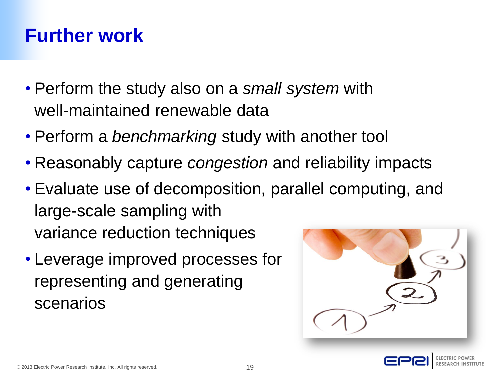### **Further work**

- Perform the study also on a *small system* with well-maintained renewable data
- Perform a *benchmarking* study with another tool
- Reasonably capture *congestion* and reliability impacts
- Evaluate use of decomposition, parallel computing, and large-scale sampling with variance reduction techniques
- Leverage improved processes for representing and generating scenarios